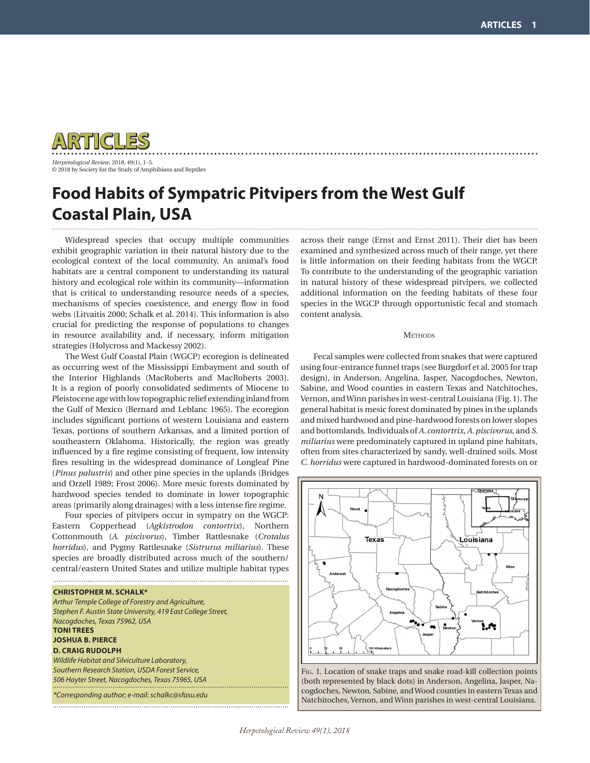

*Herpetological Review*, 2018, 49(1), 1–5. © 2018 by Society for the Study of Amphibians and Reptiles

## **Food Habits of Sympatric Pitvipers from the West Gulf Coastal Plain, USA**

Widespread species that occupy multiple communities exhibit geographic variation in their natural history due to the ecological context of the local community. An animal's food habitats are a central component to understanding its natural history and ecological role within its community—information that is critical to understanding resource needs of a species, mechanisms of species coexistence, and energy flow in food webs (Litvaitis 2000; Schalk et al. 2014). This information is also crucial for predicting the response of populations to changes in resource availability and, if necessary, inform mitigation strategies (Holycross and Mackessy 2002).

The West Gulf Coastal Plain (WGCP) ecoregion is delineated as occurring west of the Mississippi Embayment and south of the Interior Highlands (MacRoberts and MacRoberts 2003). It is a region of poorly consolidated sediments of Miocene to Pleistocene age with low topographic relief extending inland from the Gulf of Mexico (Bernard and Leblanc 1965). The ecoregion includes significant portions of western Louisiana and eastern Texas, portions of southern Arkansas, and a limited portion of southeastern Oklahoma. Historically, the region was greatly influenced by a fire regime consisting of frequent, low intensity fires resulting in the widespread dominance of Longleaf Pine (*Pinus palustris*) and other pine species in the uplands (Bridges and Orzell 1989; Frost 2006). More mesic forests dominated by hardwood species tended to dominate in lower topographic areas (primarily along drainages) with a less intense fire regime.

Four species of pitvipers occur in sympatry on the WGCP: Eastern Copperhead (*Agkistrodon contortrix*), Northern Cottonmouth (*A. piscivorus*), Timber Rattlesnake (*Crotalus horridus*), and Pygmy Rattlesnake (*Sistrurus miliarius*). These species are broadly distributed across much of the southern/ central/eastern United States and utilize multiple habitat types

| <b>CHRISTOPHER M. SCHALK*</b>                                |
|--------------------------------------------------------------|
| Arthur Temple College of Forestry and Agriculture,           |
| Stephen F. Austin State University, 419 East College Street, |
| Nacogdoches, Texas 75962, USA                                |
| <b>TONI TREES</b>                                            |
| <b>JOSHUA B. PIERCE</b>                                      |
| <b>D. CRAIG RUDOLPH</b>                                      |
| Wildlife Habitat and Silviculture Laboratory,                |
| Southern Research Station, USDA Forest Service,              |
| 506 Hayter Street, Nacogdoches, Texas 75965, USA             |
|                                                              |
| *Corresponding author; e-mail: schalkc@sfasu.edu             |
|                                                              |

across their range (Ernst and Ernst 2011). Their diet has been examined and synthesized across much of their range, yet there is little information on their feeding habitats from the WGCP. To contribute to the understanding of the geographic variation in natural history of these widespread pitvipers, we collected additional information on the feeding habitats of these four species in the WGCP through opportunistic fecal and stomach content analysis.

## **METHODS**

Fecal samples were collected from snakes that were captured using four-entrance funnel traps (see Burgdorf et al. 2005 for trap design), in Anderson, Angelina, Jasper, Nacogdoches, Newton, Sabine, and Wood counties in eastern Texas and Natchitoches, Vernon, and Winn parishes in west-central Louisiana (Fig. 1). The general habitat is mesic forest dominated by pines in the uplands and mixed hardwood and pine-hardwood forests on lower slopes and bottomlands. Individuals of *A. contortrix*, *A. piscivorus*, and *S. miliarius* were predominately captured in upland pine habitats, often from sites characterized by sandy, well-drained soils. Most *C. horridus* were captured in hardwood-dominated forests on or



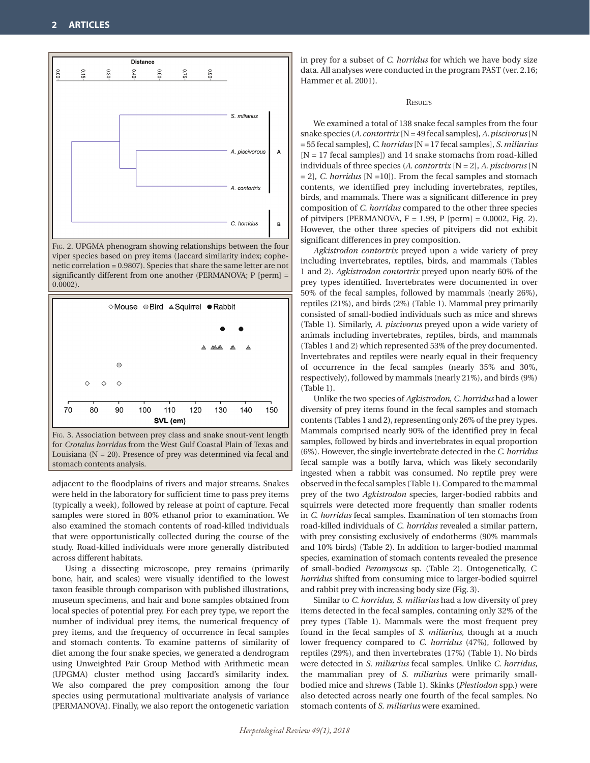

Fig. 2. UPGMA phenogram showing relationships between the four viper species based on prey items (Jaccard similarity index; cophenetic correlation = 0.9807). Species that share the same letter are not significantly different from one another (PERMANOVA; P [perm] = 0.0002).



Fig. 3. Association between prey class and snake snout-vent length for *Crotalus horridus* from the West Gulf Coastal Plain of Texas and Louisiana  $(N = 20)$ . Presence of prey was determined via fecal and stomach contents analysis.

adjacent to the floodplains of rivers and major streams. Snakes were held in the laboratory for sufficient time to pass prey items (typically a week), followed by release at point of capture. Fecal samples were stored in 80% ethanol prior to examination. We also examined the stomach contents of road-killed individuals that were opportunistically collected during the course of the study. Road-killed individuals were more generally distributed across different habitats.

Using a dissecting microscope, prey remains (primarily bone, hair, and scales) were visually identified to the lowest taxon feasible through comparison with published illustrations, museum specimens, and hair and bone samples obtained from local species of potential prey. For each prey type, we report the number of individual prey items, the numerical frequency of prey items, and the frequency of occurrence in fecal samples and stomach contents. To examine patterns of similarity of diet among the four snake species, we generated a dendrogram using Unweighted Pair Group Method with Arithmetic mean (UPGMA) cluster method using Jaccard's similarity index. We also compared the prey composition among the four species using permutational multivariate analysis of variance (PERMANOVA). Finally, we also report the ontogenetic variation in prey for a subset of *C. horridus* for which we have body size data. All analyses were conducted in the program PAST (ver. 2.16; Hammer et al. 2001).

**RESULTS** 

We examined a total of 138 snake fecal samples from the four snake species (*A. contortrix* [N = 49 fecal samples], *A. piscivorus* [N = 55 fecal samples], *C. horridus* [N = 17 fecal samples], *S. miliarius*  [N = 17 fecal samples]) and 14 snake stomachs from road-killed individuals of three species (*A. contortrix* [N = 2], *A. piscivorus* [N = 2], *C. horridus* [N =10]). From the fecal samples and stomach contents, we identified prey including invertebrates, reptiles, birds, and mammals. There was a significant difference in prey composition of *C. horridus* compared to the other three species of pitvipers (PERMANOVA,  $F = 1.99$ , P [perm] = 0.0002, Fig. 2). However, the other three species of pitvipers did not exhibit significant differences in prey composition.

*Agkistrodon contortrix* preyed upon a wide variety of prey including invertebrates, reptiles, birds, and mammals (Tables 1 and 2). *Agkistrodon contortrix* preyed upon nearly 60% of the prey types identified. Invertebrates were documented in over 50% of the fecal samples, followed by mammals (nearly 26%), reptiles (21%), and birds (2%) (Table 1). Mammal prey primarily consisted of small-bodied individuals such as mice and shrews (Table 1). Similarly, *A. piscivorus* preyed upon a wide variety of animals including invertebrates, reptiles, birds, and mammals (Tables 1 and 2) which represented 53% of the prey documented. Invertebrates and reptiles were nearly equal in their frequency of occurrence in the fecal samples (nearly 35% and 30%, respectively), followed by mammals (nearly 21%), and birds (9%) (Table 1).

Unlike the two species of *Agkistrodon*, *C. horridus* had a lower diversity of prey items found in the fecal samples and stomach contents (Tables 1 and 2), representing only 26% of the prey types. Mammals comprised nearly 90% of the identified prey in fecal samples, followed by birds and invertebrates in equal proportion (6%). However, the single invertebrate detected in the *C. horridus* fecal sample was a botfly larva, which was likely secondarily ingested when a rabbit was consumed. No reptile prey were observed in the fecal samples (Table 1). Compared to the mammal prey of the two *Agkistrodon* species, larger-bodied rabbits and squirrels were detected more frequently than smaller rodents in *C. horridus* fecal samples. Examination of ten stomachs from road-killed individuals of *C. horridus* revealed a similar pattern, with prey consisting exclusively of endotherms (90% mammals and 10% birds) (Table 2). In addition to larger-bodied mammal species, examination of stomach contents revealed the presence of small-bodied *Peromyscus* sp. (Table 2). Ontogenetically, *C. horridus* shifted from consuming mice to larger-bodied squirrel and rabbit prey with increasing body size (Fig. 3).

Similar to *C. horridus*, *S. miliarius* had a low diversity of prey items detected in the fecal samples, containing only 32% of the prey types (Table 1). Mammals were the most frequent prey found in the fecal samples of *S. miliarius*, though at a much lower frequency compared to *C. horridus* (47%), followed by reptiles (29%), and then invertebrates (17%) (Table 1). No birds were detected in *S. miliarius* fecal samples. Unlike *C. horridus*, the mammalian prey of *S. miliarius* were primarily smallbodied mice and shrews (Table 1). Skinks (*Plestiodon* spp.) were also detected across nearly one fourth of the fecal samples. No stomach contents of *S. miliarius* were examined.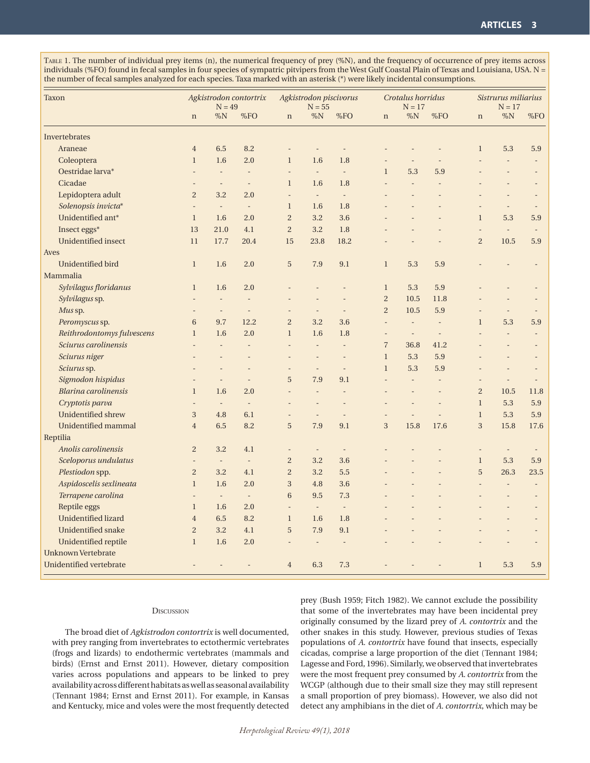Table 1. The number of individual prey items (n), the numerical frequency of prey (%N), and the frequency of occurrence of prey items across individuals (%FO) found in fecal samples in four species of sympatric pitvipers from the West Gulf Coastal Plain of Texas and Louisiana, USA. N = the number of fecal samples analyzed for each species. Taxa marked with an asterisk (\*) were likely incidental consumptions.

| <b>Taxon</b>               |                | Agkistrodon contortrix<br>$N = 49$ |                          |                          | Agkistrodon piscivorus<br>$N = 55$ |                          |                | Crotalus horridus<br>$N = 17$ |                |                | Sistrurus miliarius<br>$N = 17$ |                |  |
|----------------------------|----------------|------------------------------------|--------------------------|--------------------------|------------------------------------|--------------------------|----------------|-------------------------------|----------------|----------------|---------------------------------|----------------|--|
|                            | $\mathbf n$    | %N                                 | %FO                      | $\mathbf n$              | $\%N$                              | %FO                      | $\mathbf n$    | $\%N$                         | %FO            | $\mathbf n$    | $\%N$                           | %FO            |  |
| Invertebrates              |                |                                    |                          |                          |                                    |                          |                |                               |                |                |                                 |                |  |
| Araneae                    | $\overline{4}$ | 6.5                                | 8.2                      |                          |                                    |                          |                |                               |                | $\mathbf{1}$   | 5.3                             | 5.9            |  |
| Coleoptera                 | $\mathbf{1}$   | 1.6                                | 2.0                      | $\mathbf{1}$             | 1.6                                | 1.8                      |                |                               |                |                | $\overline{a}$                  | $\overline{a}$ |  |
| Oestridae larva*           |                | $\overline{a}$                     | $\overline{a}$           | $\overline{\phantom{a}}$ | $\overline{\phantom{a}}$           | $\overline{\phantom{a}}$ | $\mathbf{1}$   | 5.3                           | 5.9            |                |                                 |                |  |
| Cicadae                    |                |                                    | ÷,                       | $\mathbf{1}$             | 1.6                                | 1.8                      |                | $\overline{a}$                | $\overline{a}$ |                |                                 |                |  |
| Lepidoptera adult          | $\overline{2}$ | 3.2                                | 2.0                      |                          | $\sim$                             | $\Box$                   |                |                               |                |                |                                 |                |  |
| Solenopsis invicta*        |                | $\overline{\phantom{a}}$           | $\equiv$                 | $\mathbf{1}$             | 1.6                                | 1.8                      |                |                               |                |                |                                 |                |  |
| Unidentified ant*          | $\mathbf{1}$   | 1.6                                | 2.0                      | $\overline{2}$           | 3.2                                | 3.6                      |                |                               |                | $\mathbf{1}$   | 5.3                             | 5.9            |  |
| Insect eggs*               | 13             | 21.0                               | 4.1                      | $\overline{c}$           | 3.2                                | 1.8                      |                |                               |                | L,             | $\overline{\phantom{a}}$        |                |  |
| <b>Unidentified insect</b> | 11             | 17.7                               | 20.4                     | 15                       | 23.8                               | 18.2                     |                |                               |                | $\overline{2}$ | 10.5                            | 5.9            |  |
| Aves                       |                |                                    |                          |                          |                                    |                          |                |                               |                |                |                                 |                |  |
| Unidentified bird          | $\mathbf{1}$   | 1.6                                | 2.0                      | 5                        | 7.9                                | 9.1                      | $\mathbf{1}$   | 5.3                           | 5.9            |                |                                 |                |  |
| Mammalia                   |                |                                    |                          |                          |                                    |                          |                |                               |                |                |                                 |                |  |
| Sylvilagus floridanus      | $\mathbf{1}$   | 1.6                                | 2.0                      |                          |                                    |                          | $\mathbf{1}$   | 5.3                           | 5.9            |                |                                 |                |  |
| Sylvilagus sp.             |                |                                    |                          |                          |                                    |                          | $\overline{c}$ | 10.5                          | 11.8           |                |                                 |                |  |
| Mus sp.                    |                | $\overline{a}$                     | $\overline{\phantom{a}}$ |                          | $\overline{a}$                     | $\overline{a}$           | $\overline{c}$ | 10.5                          | 5.9            |                | $\overline{a}$                  |                |  |
| Peromyscus sp.             | 6              | 9.7                                | 12.2                     | $\overline{2}$           | 3.2                                | 3.6                      | ÷,             | $\overline{a}$                | $\overline{a}$ | $\mathbf{1}$   | 5.3                             | 5.9            |  |
| Reithrodontomys fulvescens | $\mathbf{1}$   | 1.6                                | 2.0                      | $\mathbf{1}$             | 1.6                                | 1.8                      | $\overline{a}$ | $\overline{a}$                | $\overline{a}$ |                |                                 |                |  |
| Sciurus carolinensis       |                |                                    |                          | L.                       | $\overline{a}$                     | $\overline{a}$           | $\overline{7}$ | 36.8                          | 41.2           |                |                                 |                |  |
| Sciurus niger              |                |                                    |                          |                          | ÷                                  | $\overline{a}$           | $\mathbf{1}$   | 5.3                           | 5.9            |                |                                 |                |  |
| Sciurus sp.                |                |                                    |                          |                          | $\overline{a}$                     | $\overline{a}$           | $\mathbf{1}$   | 5.3                           | 5.9            |                |                                 |                |  |
| Sigmodon hispidus          |                |                                    |                          | 5                        | 7.9                                | 9.1                      |                |                               |                |                |                                 |                |  |
| Blarina carolinensis       | $\mathbf{1}$   | 1.6                                | 2.0                      |                          |                                    |                          |                |                               |                | $\overline{2}$ | 10.5                            | 11.8           |  |
| Cryptotis parva            |                | $\overline{a}$                     | $\overline{a}$           |                          |                                    |                          |                |                               |                | $\mathbf{1}$   | 5.3                             | 5.9            |  |
| <b>Unidentified shrew</b>  | 3              | 4.8                                | 6.1                      |                          | $\overline{a}$                     | $\overline{a}$           |                |                               | $\overline{a}$ | $\mathbf{1}$   | 5.3                             | 5.9            |  |
| <b>Unidentified mammal</b> | $\overline{4}$ | 6.5                                | 8.2                      | 5                        | 7.9                                | 9.1                      | 3              | 15.8                          | 17.6           | 3              | 15.8                            | 17.6           |  |
| Reptilia                   |                |                                    |                          |                          |                                    |                          |                |                               |                |                |                                 |                |  |
| Anolis carolinensis        | $\overline{2}$ | 3.2                                | 4.1                      |                          |                                    |                          |                |                               |                |                |                                 |                |  |
| Sceloporus undulatus       |                | $\overline{\phantom{a}}$           | $\Box$                   | $\overline{2}$           | 3.2                                | 3.6                      |                |                               |                | $\mathbf{1}$   | 5.3                             | 5.9            |  |
| Plestiodon spp.            | $\overline{c}$ | 3.2                                | 4.1                      | $\overline{2}$           | 3.2                                | 5.5                      |                |                               |                | 5              | 26.3                            | 23.5           |  |
| Aspidoscelis sexlineata    | $\mathbf{1}$   | 1.6                                | 2.0                      | 3                        | 4.8                                | 3.6                      |                |                               |                |                |                                 |                |  |
| Terrapene carolina         |                | $\overline{\phantom{a}}$           | $\blacksquare$           | 6                        | 9.5                                | 7.3                      |                |                               |                |                |                                 |                |  |
| Reptile eggs               | $\mathbf{1}$   | 1.6                                | 2.0                      | $\overline{a}$           | $\omega$                           | $\overline{a}$           |                |                               |                |                |                                 |                |  |
| <b>Unidentified lizard</b> | $\overline{4}$ | 6.5                                | 8.2                      | $\mathbf{1}$             | 1.6                                | 1.8                      |                |                               |                |                |                                 |                |  |
| <b>Unidentified snake</b>  | $\overline{2}$ | 3.2                                | 4.1                      | 5                        | 7.9                                | 9.1                      |                |                               |                |                |                                 |                |  |
| Unidentified reptile       | $\mathbf{1}$   | 1.6                                | 2.0                      |                          |                                    |                          |                |                               |                |                |                                 |                |  |
| <b>Unknown Vertebrate</b>  |                |                                    |                          |                          |                                    |                          |                |                               |                |                |                                 |                |  |
| Unidentified vertebrate    |                |                                    |                          | $\overline{4}$           | 6.3                                | 7.3                      |                |                               |                | $\mathbf{1}$   | 5.3                             | 5.9            |  |
|                            |                |                                    |                          |                          |                                    |                          |                |                               |                |                |                                 |                |  |

## **DISCUSSION**

The broad diet of *Agkistrodon contortrix* is well documented, with prey ranging from invertebrates to ectothermic vertebrates (frogs and lizards) to endothermic vertebrates (mammals and birds) (Ernst and Ernst 2011). However, dietary composition varies across populations and appears to be linked to prey availability across different habitats as well as seasonal availability (Tennant 1984; Ernst and Ernst 2011). For example, in Kansas and Kentucky, mice and voles were the most frequently detected

prey (Bush 1959; Fitch 1982). We cannot exclude the possibility that some of the invertebrates may have been incidental prey originally consumed by the lizard prey of *A. contortrix* and the other snakes in this study. However, previous studies of Texas populations of *A. contortrix* have found that insects, especially cicadas, comprise a large proportion of the diet (Tennant 1984; Lagesse and Ford, 1996). Similarly, we observed that invertebrates were the most frequent prey consumed by *A. contortrix* from the WCGP (although due to their small size they may still represent a small proportion of prey biomass). However, we also did not detect any amphibians in the diet of *A. contortrix*, which may be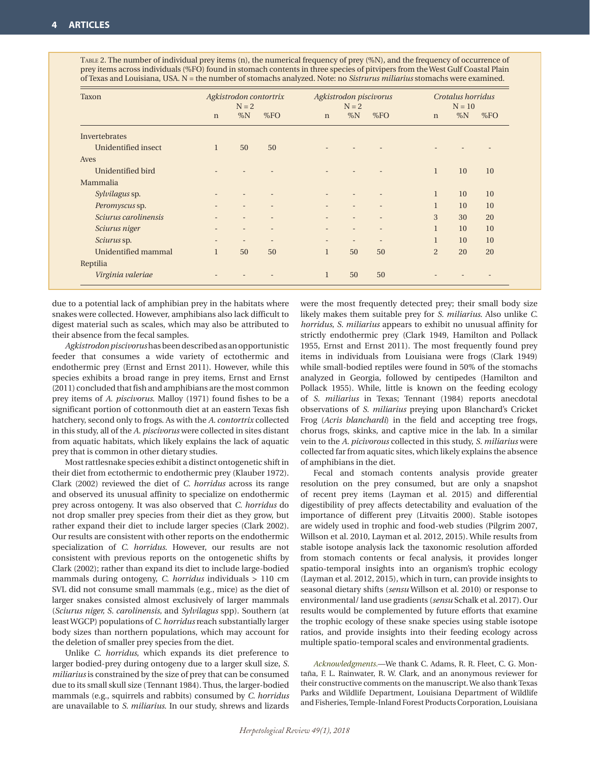Table 2. The number of individual prey items (n), the numerical frequency of prey (%N), and the frequency of occurrence of prey items across individuals (%FO) found in stomach contents in three species of pitvipers from the West Gulf Coastal Plain of Texas and Louisiana, USA. N = the number of stomachs analyzed. Note: no *Sistrurus miliarius* stomachs were examined.

| Taxon                |                          | Agkistrodon contortrix<br>$N = 2$ |                          |                          | Agkistrodon piscivorus<br>$N = 2$ |                          |              | Crotalus horridus<br>$N = 10$ |     |  |
|----------------------|--------------------------|-----------------------------------|--------------------------|--------------------------|-----------------------------------|--------------------------|--------------|-------------------------------|-----|--|
|                      | $\mathbf n$              | $\%N$                             | %FO                      | $\mathbf n$              | $\%N$                             | %FO                      | $\mathbf n$  | $\%N$                         | %FO |  |
| Invertebrates        |                          |                                   |                          |                          |                                   |                          |              |                               |     |  |
| Unidentified insect  | $\mathbf{1}$             | 50                                | 50                       |                          |                                   |                          |              |                               |     |  |
| Aves                 |                          |                                   |                          |                          |                                   |                          |              |                               |     |  |
| Unidentified bird    |                          |                                   |                          |                          |                                   |                          | $\mathbf{1}$ | 10                            | 10  |  |
| Mammalia             |                          |                                   |                          |                          |                                   |                          |              |                               |     |  |
| Sylvilagus sp.       |                          |                                   |                          |                          |                                   |                          | $\mathbf{1}$ | 10                            | 10  |  |
| Peromyscus sp.       |                          |                                   | $\overline{\phantom{m}}$ |                          |                                   | $\overline{\phantom{a}}$ | $\mathbf{1}$ | 10                            | 10  |  |
| Sciurus carolinensis |                          | $\overline{\phantom{a}}$          | $\overline{\phantom{a}}$ | $\overline{\phantom{m}}$ | $\qquad \qquad -$                 | $\overline{\phantom{a}}$ | 3            | 30                            | 20  |  |
| Sciurus niger        |                          | $\overline{\phantom{a}}$          | $\overline{\phantom{a}}$ |                          |                                   |                          | $\mathbf{1}$ | 10                            | 10  |  |
| Sciurus sp.          | $\overline{\phantom{0}}$ | $\overline{\phantom{a}}$          | $\overline{\phantom{a}}$ | $\overline{\phantom{m}}$ | $\qquad \qquad -$                 | $\qquad \qquad -$        | $\mathbf{1}$ | 10                            | 10  |  |
| Unidentified mammal  | $\mathbf{1}$             | 50                                | 50                       | $\mathbf{1}$             | 50                                | 50                       | 2            | 20                            | 20  |  |
| Reptilia             |                          |                                   |                          |                          |                                   |                          |              |                               |     |  |
| Virginia valeriae    |                          |                                   |                          | $\mathbf{1}$             | 50                                | 50                       |              |                               |     |  |

due to a potential lack of amphibian prey in the habitats where snakes were collected. However, amphibians also lack difficult to digest material such as scales, which may also be attributed to their absence from the fecal samples.

*Agkistrodonpiscivorus* has been described as an opportunistic feeder that consumes a wide variety of ectothermic and endothermic prey (Ernst and Ernst 2011). However, while this species exhibits a broad range in prey items, Ernst and Ernst (2011) concluded that fish and amphibians are the most common prey items of *A. piscivorus*. Malloy (1971) found fishes to be a significant portion of cottonmouth diet at an eastern Texas fish hatchery, second only to frogs. As with the *A. contortrix* collected in this study, all of the *A. piscivorus* were collected in sites distant from aquatic habitats, which likely explains the lack of aquatic prey that is common in other dietary studies.

Most rattlesnake species exhibit a distinct ontogenetic shift in their diet from ectothermic to endothermic prey (Klauber 1972). Clark (2002) reviewed the diet of *C. horridus* across its range and observed its unusual affinity to specialize on endothermic prey across ontogeny. It was also observed that *C. horridus* do not drop smaller prey species from their diet as they grow, but rather expand their diet to include larger species (Clark 2002). Our results are consistent with other reports on the endothermic specialization of *C. horridus*. However, our results are not consistent with previous reports on the ontogenetic shifts by Clark (2002); rather than expand its diet to include large-bodied mammals during ontogeny, *C. horridus* individuals > 110 cm SVL did not consume small mammals (e.g., mice) as the diet of larger snakes consisted almost exclusively of larger mammals (*Sciurus niger, S. carolinensis,* and *Sylvilagus* spp). Southern (at least WGCP) populations of *C. horridus* reach substantially larger body sizes than northern populations, which may account for the deletion of smaller prey species from the diet.

Unlike *C. horridus*, which expands its diet preference to larger bodied-prey during ontogeny due to a larger skull size, *S. miliarius* is constrained by the size of prey that can be consumed due to its small skull size (Tennant 1984). Thus, the larger-bodied mammals (e.g., squirrels and rabbits) consumed by *C. horridus* are unavailable to *S. miliarius*. In our study, shrews and lizards

were the most frequently detected prey; their small body size likely makes them suitable prey for *S. miliarius*. Also unlike *C. horridus*, *S. miliarius* appears to exhibit no unusual affinity for strictly endothermic prey (Clark 1949, Hamilton and Pollack 1955, Ernst and Ernst 2011). The most frequently found prey items in individuals from Louisiana were frogs (Clark 1949) while small-bodied reptiles were found in 50% of the stomachs analyzed in Georgia, followed by centipedes (Hamilton and Pollack 1955). While, little is known on the feeding ecology of *S. miliarius* in Texas; Tennant (1984) reports anecdotal observations of *S. miliarius* preying upon Blanchard's Cricket Frog (*Acris blanchardi*) in the field and accepting tree frogs, chorus frogs, skinks, and captive mice in the lab. In a similar vein to the *A. picivorous* collected in this study, *S. miliarius* were collected far from aquatic sites, which likely explains the absence of amphibians in the diet.

Fecal and stomach contents analysis provide greater resolution on the prey consumed, but are only a snapshot of recent prey items (Layman et al. 2015) and differential digestibility of prey affects detectability and evaluation of the importance of different prey (Litvaitis 2000). Stable isotopes are widely used in trophic and food-web studies (Pilgrim 2007, Willson et al. 2010, Layman et al. 2012, 2015). While results from stable isotope analysis lack the taxonomic resolution afforded from stomach contents or fecal analysis, it provides longer spatio-temporal insights into an organism's trophic ecology (Layman et al. 2012, 2015), which in turn, can provide insights to seasonal dietary shifts (*sensu* Willson et al. 2010) or response to environmental/ land use gradients (*sensu* Schalk et al. 2017). Our results would be complemented by future efforts that examine the trophic ecology of these snake species using stable isotope ratios, and provide insights into their feeding ecology across multiple spatio-temporal scales and environmental gradients.

*Acknowledgments.*—We thank C. Adams, R. R. Fleet, C. G. Montaña, F. L. Rainwater, R. W. Clark, and an anonymous reviewer for their constructive comments on the manuscript. We also thank Texas Parks and Wildlife Department, Louisiana Department of Wildlife and Fisheries, Temple-Inland Forest Products Corporation, Louisiana